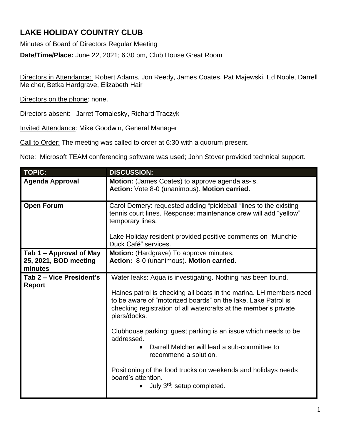## **LAKE HOLIDAY COUNTRY CLUB**

Minutes of Board of Directors Regular Meeting

**Date/Time/Place:** June 22, 2021; 6:30 pm, Club House Great Room

Directors in Attendance: Robert Adams, Jon Reedy, James Coates, Pat Majewski, Ed Noble, Darrell Melcher, Betka Hardgrave, Elizabeth Hair

Directors on the phone: none.

Directors absent: Jarret Tomalesky, Richard Traczyk

Invited Attendance: Mike Goodwin, General Manager

Call to Order: The meeting was called to order at 6:30 with a quorum present.

Note: Microsoft TEAM conferencing software was used; John Stover provided technical support.

| <b>TOPIC:</b>                                               | <b>DISCUSSION:</b>                                                                                                                                                                                                                                                                                                                                                                                                                                                                                                                                                                |
|-------------------------------------------------------------|-----------------------------------------------------------------------------------------------------------------------------------------------------------------------------------------------------------------------------------------------------------------------------------------------------------------------------------------------------------------------------------------------------------------------------------------------------------------------------------------------------------------------------------------------------------------------------------|
| <b>Agenda Approval</b>                                      | Motion: (James Coates) to approve agenda as-is.<br>Action: Vote 8-0 (unanimous). Motion carried.                                                                                                                                                                                                                                                                                                                                                                                                                                                                                  |
| <b>Open Forum</b>                                           | Carol Demery: requested adding "pickleball "lines to the existing<br>tennis court lines. Response: maintenance crew will add "yellow"<br>temporary lines.<br>Lake Holiday resident provided positive comments on "Munchie"<br>Duck Café" services.                                                                                                                                                                                                                                                                                                                                |
| Tab 1 – Approval of May<br>25, 2021, BOD meeting<br>minutes | Motion: (Hardgrave) To approve minutes.<br>Action: 8-0 (unanimous). Motion carried.                                                                                                                                                                                                                                                                                                                                                                                                                                                                                               |
| Tab 2 – Vice President's<br><b>Report</b>                   | Water leaks: Aqua is investigating. Nothing has been found.<br>Haines patrol is checking all boats in the marina. LH members need<br>to be aware of "motorized boards" on the lake. Lake Patrol is<br>checking registration of all watercrafts at the member's private<br>piers/docks.<br>Clubhouse parking: guest parking is an issue which needs to be<br>addressed.<br>Darrell Melcher will lead a sub-committee to<br>$\bullet$<br>recommend a solution.<br>Positioning of the food trucks on weekends and holidays needs<br>board's attention.<br>July 3rd: setup completed. |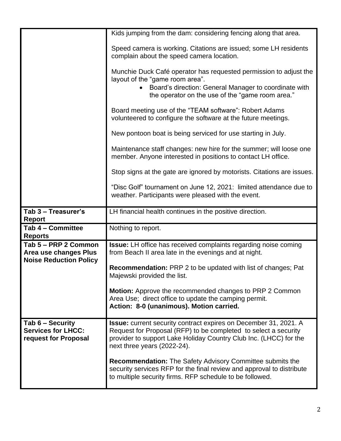|                                                                       | Kids jumping from the dam: considering fencing along that area.                                                                                                                                                                                |
|-----------------------------------------------------------------------|------------------------------------------------------------------------------------------------------------------------------------------------------------------------------------------------------------------------------------------------|
|                                                                       | Speed camera is working. Citations are issued; some LH residents<br>complain about the speed camera location.                                                                                                                                  |
|                                                                       | Munchie Duck Café operator has requested permission to adjust the<br>layout of the "game room area".<br>Board's direction: General Manager to coordinate with<br>the operator on the use of the "game room area."                              |
|                                                                       | Board meeting use of the "TEAM software": Robert Adams<br>volunteered to configure the software at the future meetings.                                                                                                                        |
|                                                                       | New pontoon boat is being serviced for use starting in July.                                                                                                                                                                                   |
|                                                                       | Maintenance staff changes: new hire for the summer; will loose one<br>member. Anyone interested in positions to contact LH office.                                                                                                             |
|                                                                       | Stop signs at the gate are ignored by motorists. Citations are issues.                                                                                                                                                                         |
|                                                                       | "Disc Golf" tournament on June 12, 2021: limited attendance due to<br>weather. Participants were pleased with the event.                                                                                                                       |
|                                                                       |                                                                                                                                                                                                                                                |
| Tab 3 - Treasurer's<br><b>Report</b>                                  | LH financial health continues in the positive direction.                                                                                                                                                                                       |
| Tab 4 - Committee<br><b>Reports</b>                                   | Nothing to report.                                                                                                                                                                                                                             |
| Tab 5 - PRP 2 Common<br>Area use changes Plus                         | <b>Issue:</b> LH office has received complaints regarding noise coming<br>from Beach II area late in the evenings and at night.                                                                                                                |
| <b>Noise Reduction Policy</b>                                         | <b>Recommendation:</b> PRP 2 to be updated with list of changes; Pat<br>Majewski provided the list.                                                                                                                                            |
|                                                                       | <b>Motion:</b> Approve the recommended changes to PRP 2 Common<br>Area Use; direct office to update the camping permit.<br>Action: 8-0 (unanimous). Motion carried.                                                                            |
| Tab 6 - Security<br><b>Services for LHCC:</b><br>request for Proposal | <b>Issue:</b> current security contract expires on December 31, 2021. A<br>Request for Proposal (RFP) to be completed to select a security<br>provider to support Lake Holiday Country Club Inc. (LHCC) for the<br>next three years (2022-24). |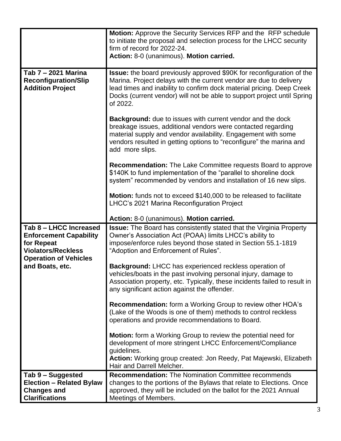|                                                                                                                                    | <b>Motion:</b> Approve the Security Services RFP and the RFP schedule<br>to initiate the proposal and selection process for the LHCC security<br>firm of record for 2022-24.<br>Action: 8-0 (unanimous). Motion carried.                                                                                    |
|------------------------------------------------------------------------------------------------------------------------------------|-------------------------------------------------------------------------------------------------------------------------------------------------------------------------------------------------------------------------------------------------------------------------------------------------------------|
| Tab 7 - 2021 Marina<br><b>Reconfiguration/Slip</b><br><b>Addition Project</b>                                                      | Issue: the board previously approved \$90K for reconfiguration of the<br>Marina. Project delays with the current vendor are due to delivery<br>lead times and inability to confirm dock material pricing. Deep Creek<br>Docks (current vendor) will not be able to support project until Spring<br>of 2022. |
|                                                                                                                                    | <b>Background:</b> due to issues with current vendor and the dock<br>breakage issues, additional vendors were contacted regarding<br>material supply and vendor availability. Engagement with some<br>vendors resulted in getting options to "reconfigure" the marina and<br>add more slips.                |
|                                                                                                                                    | <b>Recommendation:</b> The Lake Committee requests Board to approve<br>\$140K to fund implementation of the "parallel to shoreline dock<br>system" recommended by vendors and installation of 16 new slips.                                                                                                 |
|                                                                                                                                    | Motion: funds not to exceed \$140,000 to be released to facilitate<br>LHCC's 2021 Marina Reconfiguration Project                                                                                                                                                                                            |
|                                                                                                                                    | Action: 8-0 (unanimous). Motion carried.                                                                                                                                                                                                                                                                    |
| Tab 8 - LHCC Increased<br><b>Enforcement Capability</b><br>for Repeat<br><b>Violators/Reckless</b><br><b>Operation of Vehicles</b> | <b>Issue:</b> The Board has consistently stated that the Virginia Property<br>Owner's Association Act (POAA) limits LHCC's ability to<br>impose/enforce rules beyond those stated in Section 55.1-1819<br>"Adoption and Enforcement of Rules".                                                              |
| and Boats, etc.                                                                                                                    | Background: LHCC has experienced reckless operation of<br>vehicles/boats in the past involving personal injury, damage to<br>Association property, etc. Typically, these incidents failed to result in<br>any significant action against the offender.                                                      |
|                                                                                                                                    | <b>Recommendation:</b> form a Working Group to review other HOA's<br>(Lake of the Woods is one of them) methods to control reckless<br>operations and provide recommendations to Board.                                                                                                                     |
|                                                                                                                                    | <b>Motion:</b> form a Working Group to review the potential need for<br>development of more stringent LHCC Enforcement/Compliance<br>guidelines.<br>Action: Working group created: Jon Reedy, Pat Majewski, Elizabeth                                                                                       |
|                                                                                                                                    | Hair and Darrell Melcher.                                                                                                                                                                                                                                                                                   |
| Tab 9 - Suggested<br><b>Election - Related Bylaw</b><br><b>Changes and</b><br><b>Clarifications</b>                                | <b>Recommendation:</b> The Nomination Committee recommends<br>changes to the portions of the Bylaws that relate to Elections. Once<br>approved, they will be included on the ballot for the 2021 Annual<br>Meetings of Members.                                                                             |